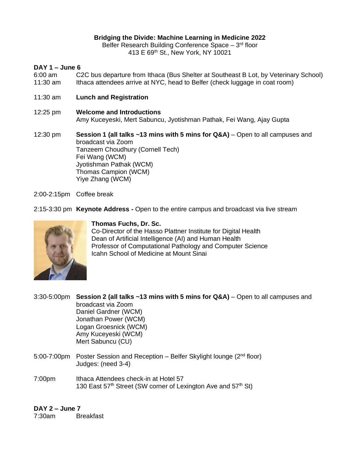#### **Bridging the Divide: Machine Learning in Medicine 2022**

Belfer Research Building Conference Space - 3<sup>rd</sup> floor 413 E 69th St., New York, NY 10021

### **DAY 1 – June 6**

- 6:00 am C2C bus departure from Ithaca (Bus Shelter at Southeast B Lot, by Veterinary School) 11:30 am Ithaca attendees arrive at NYC, head to Belfer (check luggage in coat room)
- 11:30 am **Lunch and Registration**
- 12:25 pm **Welcome and Introductions** Amy Kuceyeski, Mert Sabuncu, Jyotishman Pathak, Fei Wang, Ajay Gupta
- 12:30 pm **Session 1 (all talks ~13 mins with 5 mins for Q&A)** Open to all campuses and broadcast via Zoom Tanzeem Choudhury (Cornell Tech) Fei Wang (WCM) Jyotishman Pathak (WCM) Thomas Campion (WCM) Yiye Zhang (WCM)
- 2:00-2:15pm Coffee break
- 2:15-3:30 pm **Keynote Address -** Open to the entire campus and broadcast via live stream



#### **Thomas Fuchs, Dr. Sc.**

Co-Director of the Hasso Plattner Institute for Digital Health Dean of Artificial Intelligence (AI) and Human Health Professor of Computational Pathology and Computer Science Icahn School of Medicine at Mount Sinai

3:30-5:00pm **Session 2 (all talks ~13 mins with 5 mins for Q&A)** – Open to all campuses and broadcast via Zoom Daniel Gardner (WCM) Jonathan Power (WCM) Logan Groesnick (WCM) Amy Kuceyeski (WCM) Mert Sabuncu (CU)

- 5:00-7:00pm Poster Session and Reception Belfer Skylight lounge (2<sup>nd</sup> floor) Judges: (need 3-4)
- 7:00pm Ithaca Attendees check-in at Hotel 57 130 East  $57<sup>th</sup>$  Street (SW corner of Lexington Ave and  $57<sup>th</sup>$  St)

#### **DAY 2 – June 7**

7:30am Breakfast